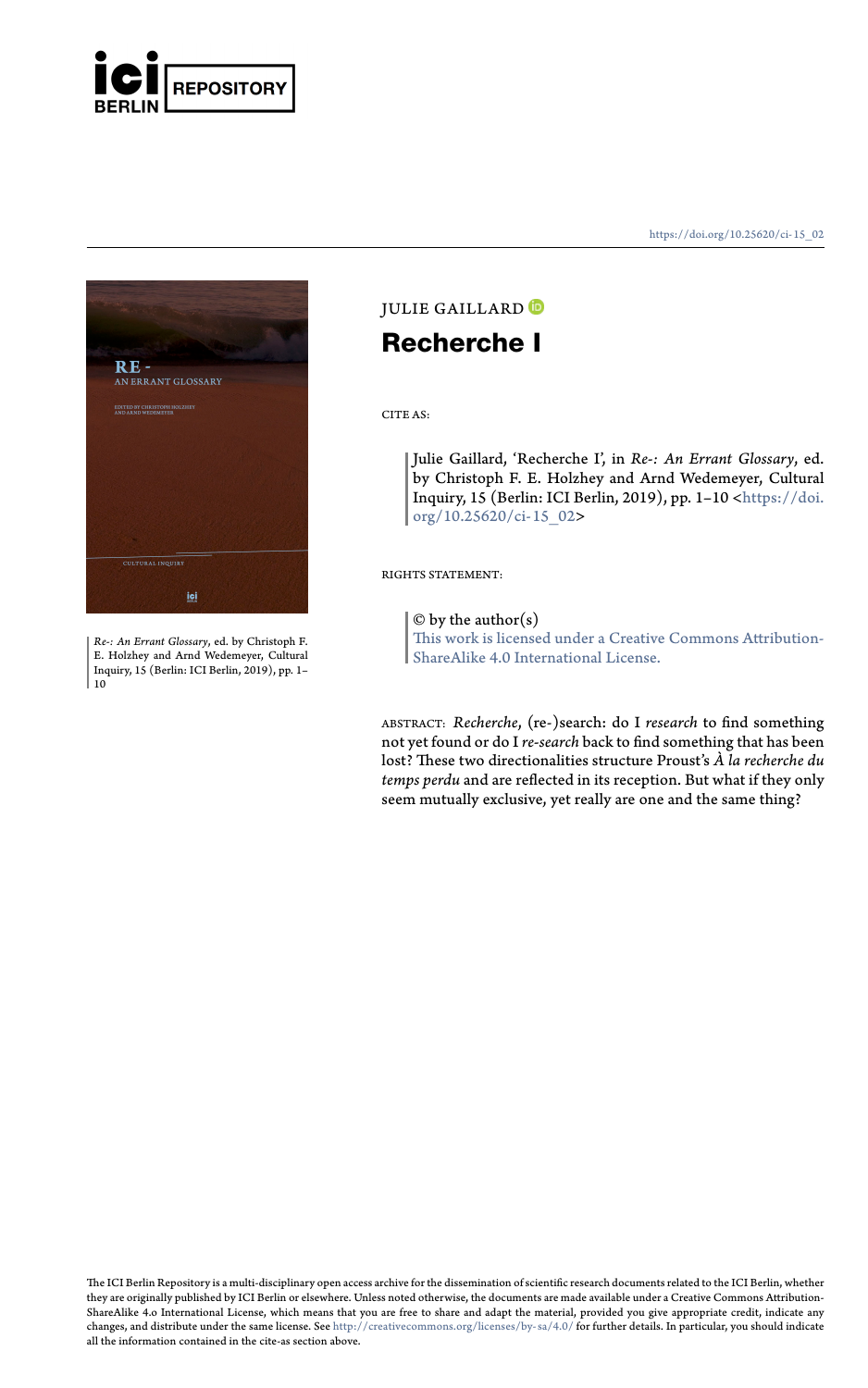

**RE -**<br>AN ERRANT GLOSSARY

*Re-: An Errant Glossary*, ed. by Christoph F. E. Holzhey and Arnd Wedemeyer, Cultural Inquiry, 15 (Berlin: ICI Berlin, 2019), pp. 1– 10

#### https://doi.org/10.25620/ci- 15\_02

## JULIE GAILLARD<sup>O</sup> **Recherche I**

CITE AS:

Julie Gaillard, 'Recherche I', in *Re-: An Errant Glossary*, ed. by Christoph F. E. Holzhey and Arnd Wedemeyer, Cultural Inquiry, 15 (Berlin: ICI Berlin, 2019), pp. 1–10 <https://doi. org/10.25620/ci-15\_02>

RIGHTS STATEMENT:

 $\ensuremath{\mathbb{O}}$  by the author(s)

This work is licensed under a Creative Commons Attribution-ShareAlike 4.0 International License.

ABSTRACT: *Recherche,* (re-)search: do I *research t*o find something<br>not yet found or do I *re-search* back to find something that has been<br>lost? These two directionalities structure Proust's *À la recherche du temps perdu* and are reflected in its reception. But what if they only [seem mutually exclusive, yet](http://creativecommons.org/licenses/by-sa/4.0/) really are one and the same thing?

The ICI Berlin Repository is a multi-disciplinary open access archive for the dissemination of scientific research documents related to the ICI Berlin, whether<br>they are originally published by ICI Berlin or elsewhere. Unle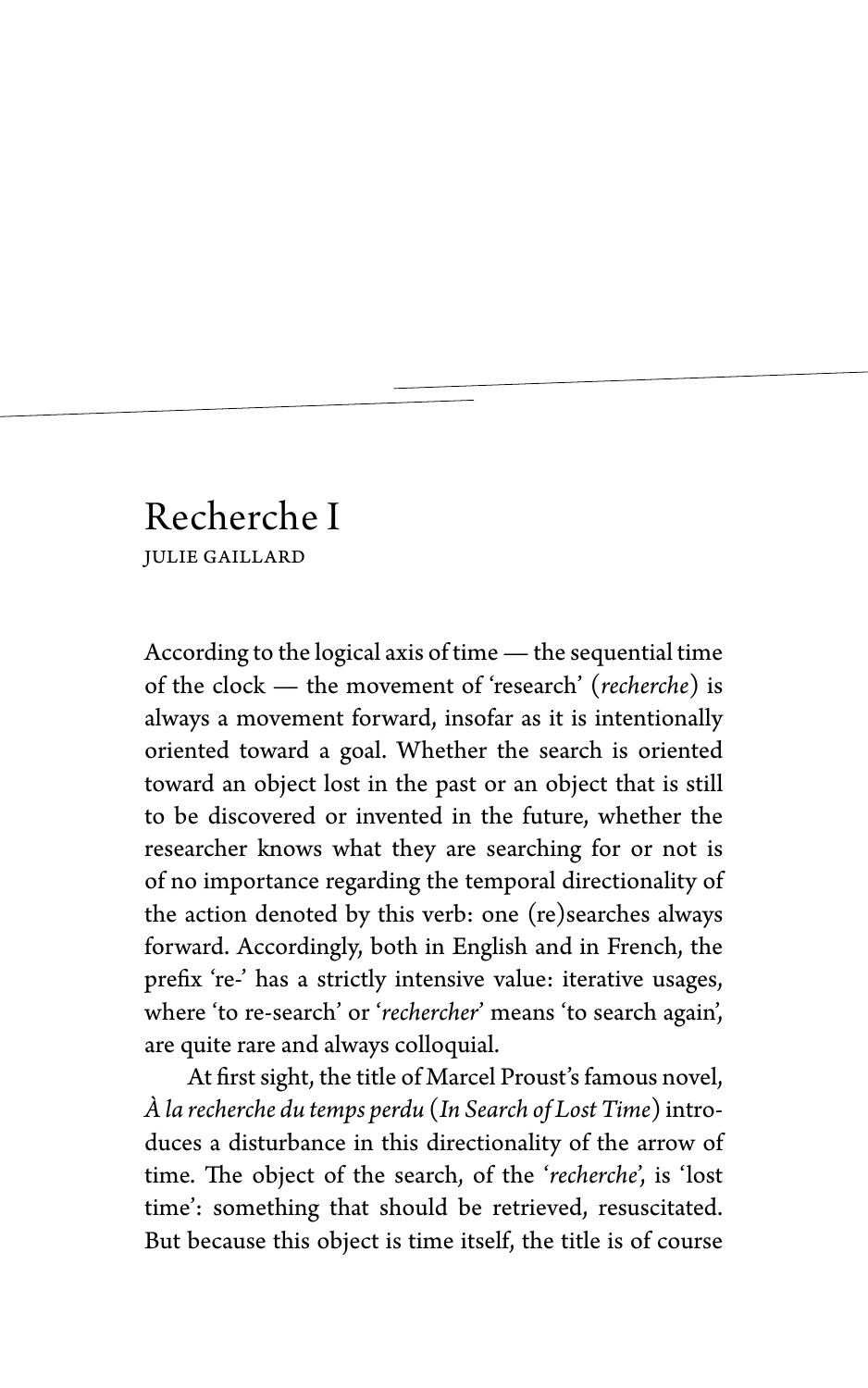# Recherche I JULIE GAILLARD

According to the logical axis of time— the sequential time of the clock — the movement of 'research' (*recherche*) is always a movement forward, insofar as it is intentionally oriented toward a goal. Whether the search is oriented toward an object lost in the past or an object that is still to be discovered or invented in the future, whether the researcher knows what they are searching for or not is of no importance regarding the temporal directionality of the action denoted by this verb: one (re)searches always forward. Accordingly, both in English and in French, the prefix 're-' has a strictly intensive value: iterative usages, where 'to re-search' or '*rechercher*' means 'to search again', are quite rare and always colloquial.

At first sight, the title of Marcel Proust's famous novel, *À la recherche du temps perdu* (*In Search of Lost Time*) introduces a disturbance in this directionality of the arrow of time. The object of the search, of the '*recherche*', is 'lost time': something that should be retrieved, resuscitated. But because this object is time itself, the title is of course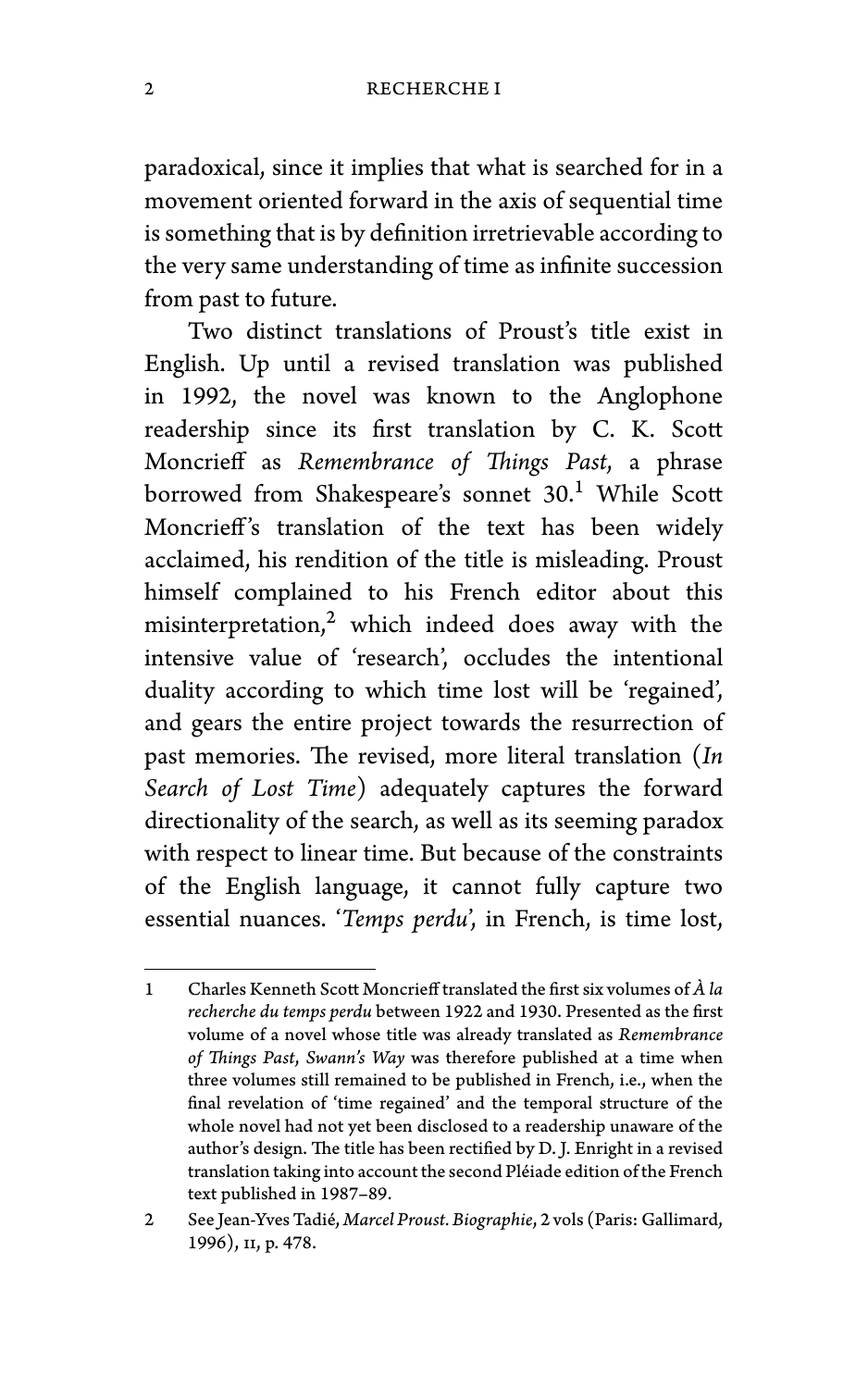paradoxical, since it implies that what is searched for in a movement oriented forward in the axis of sequential time is something that is by definition irretrievable according to the very same understanding of time as infinite succession from past to future.

Two distinct translations of Proust's title exist in English. Up until a revised translation was published in 1992, the novel was known to the Anglophone readership since its first translation by C. K. Scott Moncrieff as *Remembrance of Things Past*, a phrase borrowed from Shakespeare's sonnet 30.<sup>1</sup> While Scott Moncrieff's translation of the text has been widely acclaimed, his rendition of the title is misleading. Proust himself complained to his French editor about this misinterpretation, $2$  which indeed does away with the intensive value of 'research', occludes the intentional duality according to which time lost will be 'regained', and gears the entire project towards the resurrection of past memories. The revised, more literal translation (*In Search of Lost Time*) adequately captures the forward directionality of the search, as well as its seeming paradox with respect to linear time. But because of the constraints of the English language, it cannot fully capture two essential nuances. '*Temps perdu*', in French, is time lost,

<sup>1</sup> Charles Kenneth Scott Moncrieff translated the first six volumes of *À la recherche du temps perdu* between 1922 and 1930. Presented as the first volume of a novel whose title was already translated as *Remembrance of Things Past*, *Swann's Way* was therefore published at a time when three volumes still remained to be published in French, i.e., when the final revelation of 'time regained' and the temporal structure of the whole novel had not yet been disclosed to a readership unaware of the author's design. The title has been rectified by D. J. Enright in a revised translation taking into account the second Pléiade edition of the French text published in 1987–89.

<sup>2</sup> See Jean-Yves Tadié, *Marcel Proust. Biographie*, 2 vols (Paris: Gallimard, 1996), ii, p. 478.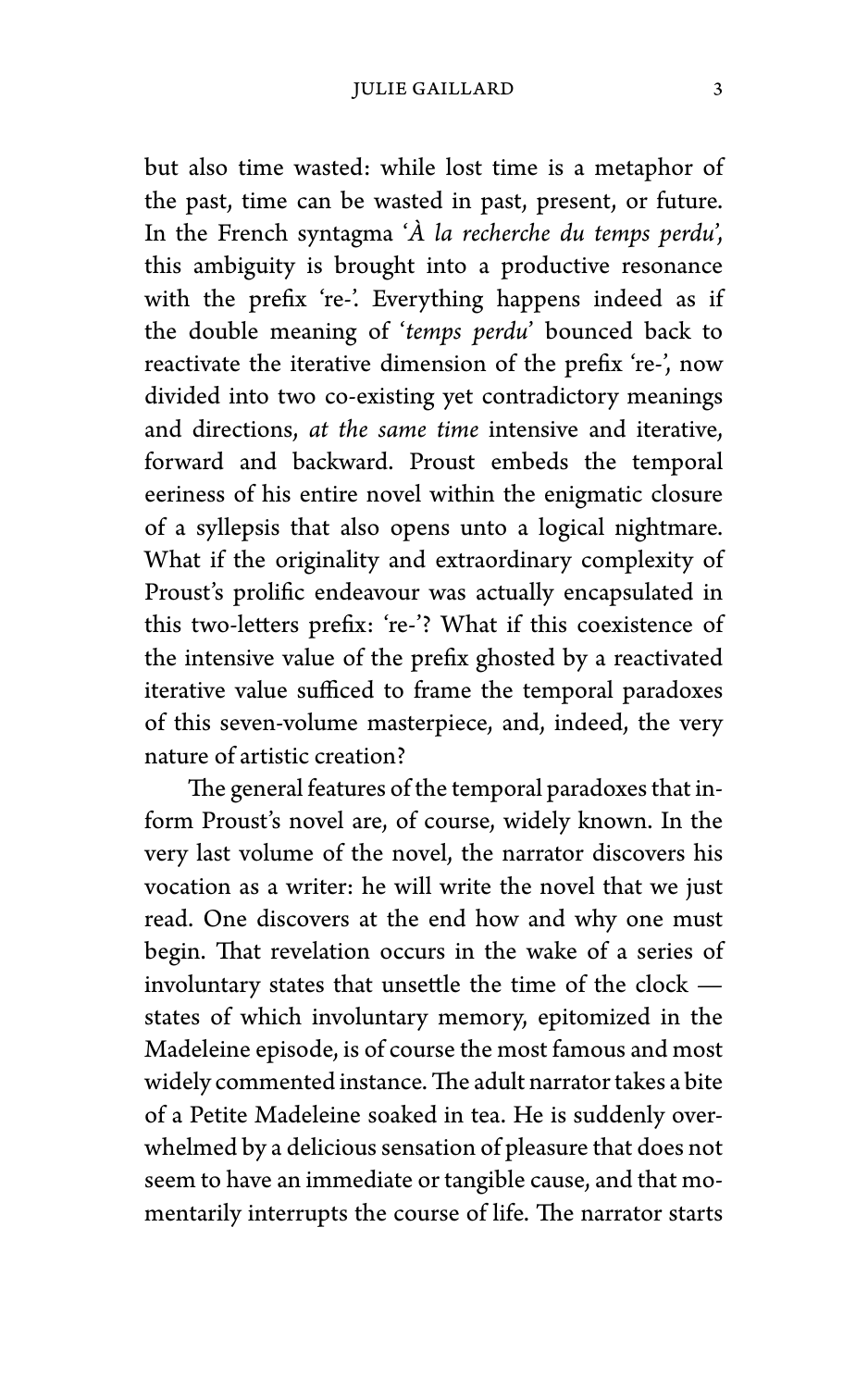but also time wasted: while lost time is a metaphor of the past, time can be wasted in past, present, or future. In the French syntagma '*À la recherche du temps perdu*', this ambiguity is brought into a productive resonance with the prefix 're-'. Everything happens indeed as if the double meaning of '*temps perdu*' bounced back to reactivate the iterative dimension of the prefix 're-', now divided into two co-existing yet contradictory meanings and directions, *at the same time* intensive and iterative, forward and backward. Proust embeds the temporal eeriness of his entire novel within the enigmatic closure of a syllepsis that also opens unto a logical nightmare. What if the originality and extraordinary complexity of Proust's prolific endeavour was actually encapsulated in this two-letters prefix: 're-'? What if this coexistence of the intensive value of the prefix ghosted by a reactivated iterative value sufficed to frame the temporal paradoxes of this seven-volume masterpiece, and, indeed, the very nature of artistic creation?

The general features of the temporal paradoxes that inform Proust's novel are, of course, widely known. In the very last volume of the novel, the narrator discovers his vocation as a writer: he will write the novel that we just read. One discovers at the end how and why one must begin. That revelation occurs in the wake of a series of involuntary states that unsettle the time of the clock states of which involuntary memory, epitomized in the Madeleine episode, is of course the most famous and most widely commented instance.The adult narrator takes a bite of a Petite Madeleine soaked in tea. He is suddenly overwhelmed by a delicious sensation of pleasure that does not seem to have an immediate or tangible cause, and that momentarily interrupts the course of life. The narrator starts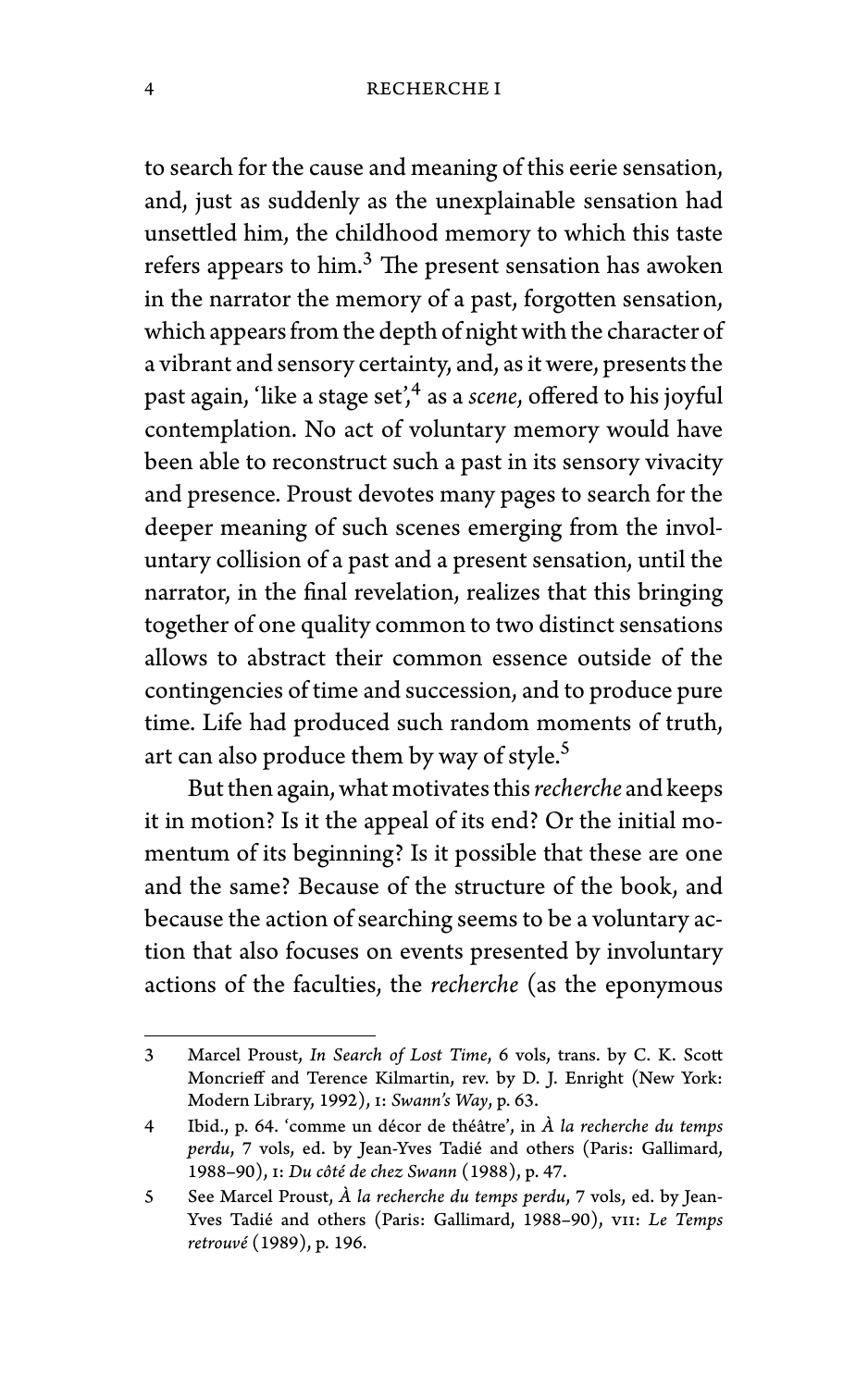to search for the cause and meaning of this eerie sensation, and, just as suddenly as the unexplainable sensation had unsettled him, the childhood memory to which this taste refers appears to him.<sup>3</sup> The present sensation has awoken in the narrator the memory of a past, forgotten sensation, which appears from the depth of night with the character of a vibrant and sensory certainty, and, as it were, presents the past again, 'like a stage set',<sup>4</sup> as a *scene,* offered to his joyful contemplation. No act of voluntary memory would have been able to reconstruct such a past in its sensory vivacity and presence. Proust devotes many pages to search for the deeper meaning of such scenes emerging from the involuntary collision of a past and a present sensation, until the narrator, in the final revelation, realizes that this bringing together of one quality common to two distinct sensations allows to abstract their common essence outside of the contingencies of time and succession, and to produce pure time. Life had produced such random moments of truth, art can also produce them by way of style.<sup>5</sup>

But then again, what motivates this*recherche* and keeps it in motion? Is it the appeal of its end? Or the initial momentum of its beginning? Is it possible that these are one and the same? Because of the structure of the book, and because the action of searching seems to be a voluntary action that also focuses on events presented by involuntary actions of the faculties, the *recherche* (as the eponymous

<sup>3</sup> Marcel Proust, *In Search of Lost Time*, 6 vols, trans. by C. K. Scott Moncrieff and Terence Kilmartin, rev. by D. J. Enright (New York: Modern Library, 1992), i: *Swann's Way*, p. 63.

<sup>4</sup> Ibid., p. 64. 'comme un décor de théâtre', in *À la recherche du temps perdu*, 7 vols, ed. by Jean-Yves Tadié and others (Paris: Gallimard, 1988–90), i: *Du côté de chez Swann* (1988), p. 47.

<sup>5</sup> See Marcel Proust, *À la recherche du temps perdu*, 7 vols, ed. by Jean-Yves Tadié and others (Paris: Gallimard, 1988–90), vii: *Le Temps retrouvé* (1989), p. 196.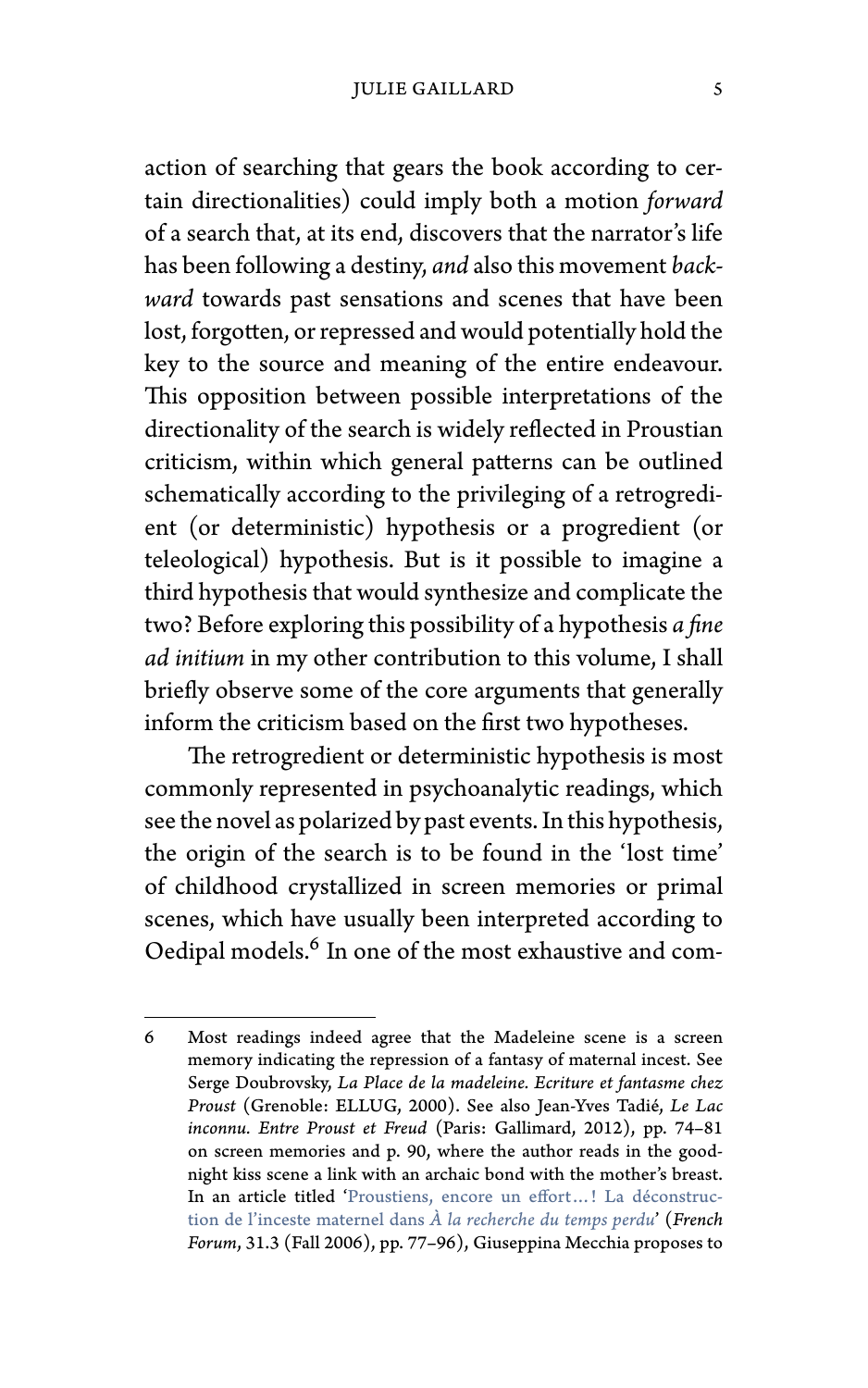## JULIE GAILLARD 5

action of searching that gears the book according to certain directionalities) could imply both a motion *forward* of a search that, at its end, discovers that the narrator's life has been following a destiny, *and* also this movement *backward* towards past sensations and scenes that have been lost, forgotten, or repressed and would potentially hold the key to the source and meaning of the entire endeavour. This opposition between possible interpretations of the directionality of the search is widely reflected in Proustian criticism, within which general patterns can be outlined schematically according to the privileging of a retrogredient (or deterministic) hypothesis or a progredient (or teleological) hypothesis. But is it possible to imagine a third hypothesis that would synthesize and complicate the two? Before exploring this possibility of a hypothesis *a fine ad initium* in my other contribution to this volume, I shall brie[fly observe some of the core arguments that generally](https://doi.org/10.1353/frf.2007.0027) inform the criticism based on the first two hypotheses.

The retrogredient or deterministic hypothesis is most commonly represented in psychoanalytic readings, which see the novel as polarized by past events. In this hypothesis, the origin of the search is to be found in the 'lost time' of childhood crystallized in screen memories or primal scenes, which have usually been interpreted according to Oedipal models.<sup>6</sup> In one of the most exhaustive and com-

<sup>6</sup> Most readings indeed agree that the Madeleine scene is a screen memory indicating the repression of a fantasy of maternal incest. See Serge Doubrovsky, *La Place de la madeleine. Ecriture et fantasme chez Proust* (Grenoble: ELLUG, 2000). See also Jean-Yves Tadié, *Le Lac inconnu. Entre Proust et Freud* (Paris: Gallimard, 2012), pp. 74–81 on screen memories and p. 90, where the author reads in the goodnight kiss scene a link with an archaic bond with the mother's breast. In an article titled 'Proustiens, encore un effort…! La déconstruction de l'inceste maternel dans *À la recherche du temps perdu*' (*French Forum*, 31.3 (Fall 2006), pp. 77–96), Giuseppina Mecchia proposes to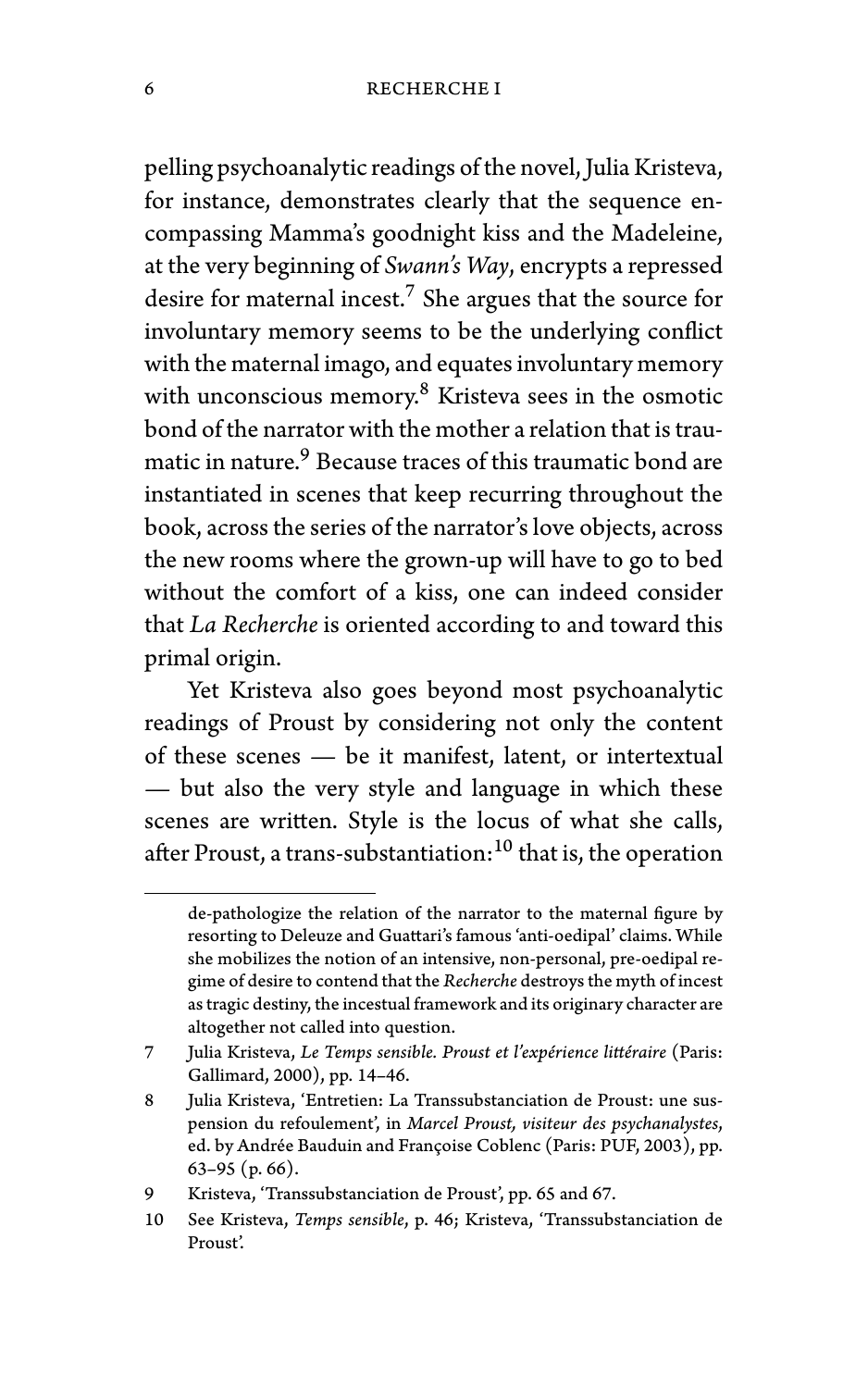pelling psychoanalytic readings of the novel, Julia Kristeva, for instance, demonstrates clearly that the sequence encompassing Mamma's goodnight kiss and the Madeleine, at the very beginning of *Swann's Way*, encrypts a repressed desire for maternal incest.<sup>7</sup> She argues that the source for involuntary memory seems to be the underlying conflict with the maternal imago, and equates involuntary memory with unconscious memory.<sup>8</sup> Kristeva sees in the osmotic bond of the narrator with the mother a relation that is traumatic in nature.<sup>9</sup> Because traces of this traumatic bond are instantiated in scenes that keep recurring throughout the book, across the series of the narrator's love objects, across the new rooms where the grown-up will have to go to bed without the comfort of a kiss, one can indeed consider that *La Recherche* is oriented according to and toward this primal origin.

Yet Kristeva also goes beyond most psychoanalytic readings of Proust by considering not only the content of these scenes — be it manifest, latent, or intertextual — but also the very style and language in which these scenes are written. Style is the locus of what she calls, after Proust, a trans-substantiation: $^{10}$  that is, the operation

de-pathologize the relation of the narrator to the maternal figure by resorting to Deleuze and Guattari's famous 'anti-oedipal' claims. While she mobilizes the notion of an intensive, non-personal, pre-oedipal regime of desire to contend that the *Recherche* destroys the myth of incest as tragic destiny, the incestual framework and its originary character are altogether not called into question.

<sup>7</sup> Julia Kristeva, *Le Temps sensible. Proust et l'expérience littéraire* (Paris: Gallimard, 2000), pp. 14–46.

<sup>8</sup> Julia Kristeva, 'Entretien: La Transsubstanciation de Proust: une suspension du refoulement', in *Marcel Proust, visiteur des psychanalystes*, ed. by Andrée Bauduin and Françoise Coblenc (Paris: PUF, 2003), pp. 63–95 (p. 66).

<sup>9</sup> Kristeva, 'Transsubstanciation de Proust', pp. 65 and 67.

<sup>10</sup> See Kristeva, *Temps sensible*, p. 46; Kristeva, 'Transsubstanciation de Proust'.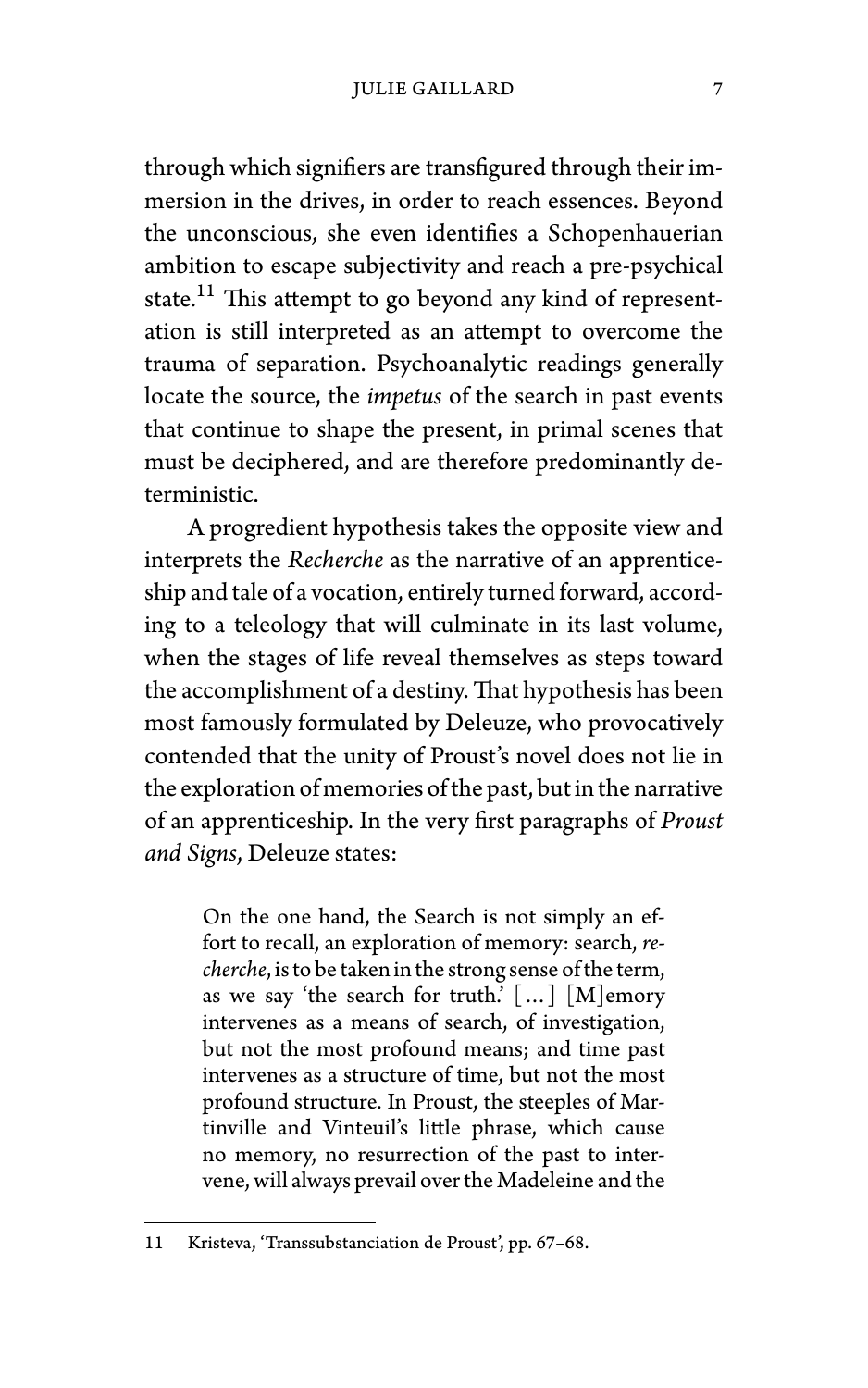through which signifiers are transfigured through their immersion in the drives, in order to reach essences. Beyond the unconscious, she even identifies a Schopenhauerian ambition to escape subjectivity and reach a pre-psychical state.<sup>11</sup> This attempt to go beyond any kind of representation is still interpreted as an attempt to overcome the trauma of separation. Psychoanalytic readings generally locate the source, the *impetus* of the search in past events that continue to shape the present, in primal scenes that must be deciphered, and are therefore predominantly deterministic.

A progredient hypothesis takes the opposite view and interprets the *Recherche* as the narrative of an apprenticeship and tale of a vocation, entirely turned forward, according to a teleology that will culminate in its last volume, when the stages of life reveal themselves as steps toward the accomplishment of a destiny.That hypothesis has been most famously formulated by Deleuze, who provocatively contended that the unity of Proust's novel does not lie in the exploration of memories of the past, but in the narrative of an apprenticeship. In the very first paragraphs of *Proust and Signs*, Deleuze states:

On the one hand, the Search is not simply an effort to recall, an exploration of memory: search, *recherche*, is to be taken in the strong sense of the term, as we say 'the search for truth.'  $\lceil ... \rceil$   $\lceil M \rceil$ emory intervenes as a means of search, of investigation, but not the most profound means; and time past intervenes as a structure of time, but not the most profound structure. In Proust, the steeples of Martinville and Vinteuil's little phrase, which cause no memory, no resurrection of the past to intervene, will always prevail over the Madeleine and the

<sup>11</sup> Kristeva, 'Transsubstanciation de Proust', pp. 67–68.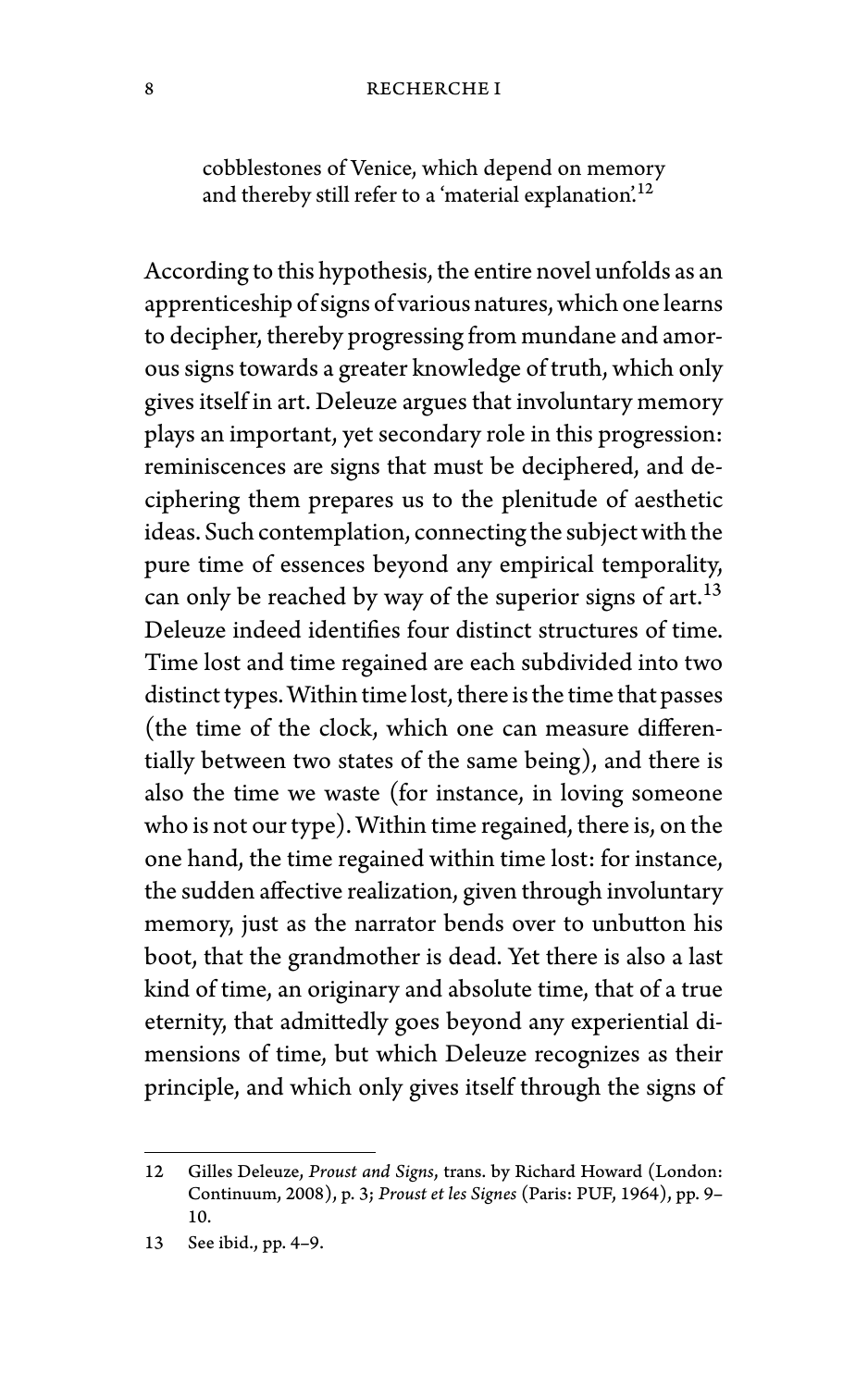#### 8 RECHERCHE I

cobblestones of Venice, which depend on memory and thereby still refer to a 'material explanation'.<sup>12</sup>

According to this hypothesis, the entire novel unfolds as an apprenticeship of signs of various natures, which one learns to decipher, thereby progressing from mundane and amorous signs towards a greater knowledge of truth, which only gives itself in art. Deleuze argues that involuntary memory plays an important, yet secondary role in this progression: reminiscences are signs that must be deciphered, and deciphering them prepares us to the plenitude of aesthetic ideas. Such contemplation, connecting the subject with the pure time of essences beyond any empirical temporality, can only be reached by way of the superior signs of art.<sup>13</sup> Deleuze indeed identifies four distinct structures of time. Time lost and time regained are each subdivided into two distinct types.Within time lost, there is the time that passes (the time of the clock, which one can measure differentially between two states of the same being), and there is also the time we waste (for instance, in loving someone who is not our type). Within time regained, there is, on the one hand, the time regained within time lost: for instance, the sudden affective realization, given through involuntary memory, just as the narrator bends over to unbutton his boot, that the grandmother is dead. Yet there is also a last kind of time, an originary and absolute time, that of a true eternity, that admittedly goes beyond any experiential dimensions of time, but which Deleuze recognizes as their principle, and which only gives itself through the signs of

<sup>12</sup> Gilles Deleuze, *Proust and Signs*, trans. by Richard Howard (London: Continuum, 2008), p. 3; *Proust et les Signes* (Paris: PUF, 1964), pp. 9– 10.

<sup>13</sup> See ibid., pp. 4–9.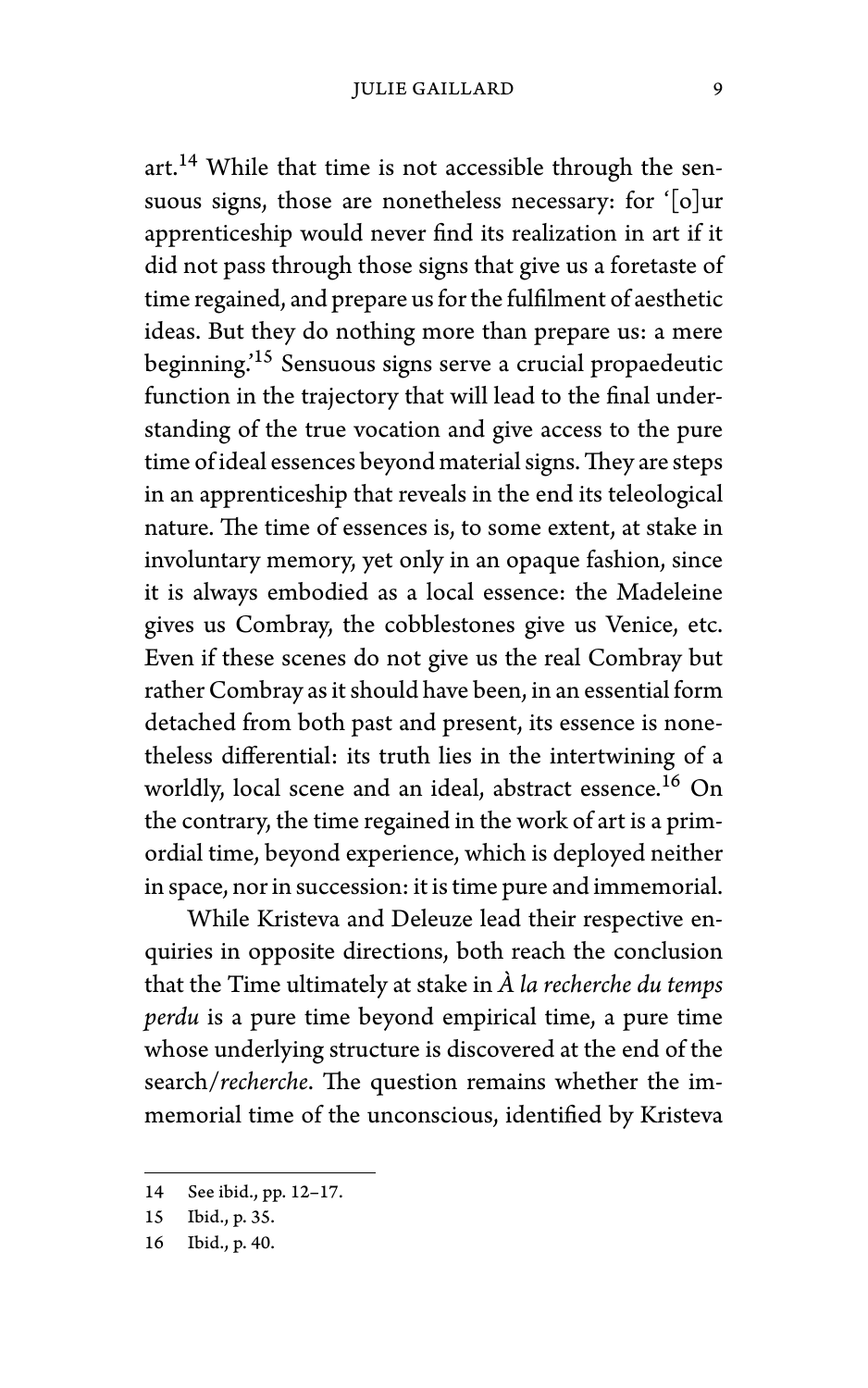art.<sup>14</sup> While that time is not accessible through the sensuous signs, those are nonetheless necessary: for '[o]ur apprenticeship would never find its realization in art if it did not pass through those signs that give us a foretaste of time regained, and prepare us for the fulfilment of aesthetic ideas. But they do nothing more than prepare us: a mere beginning.'<sup>15</sup> Sensuous signs serve a crucial propaedeutic function in the trajectory that will lead to the final understanding of the true vocation and give access to the pure time of ideal essences beyond material signs.They are steps in an apprenticeship that reveals in the end its teleological nature. The time of essences is, to some extent, at stake in involuntary memory, yet only in an opaque fashion, since it is always embodied as a local essence: the Madeleine gives us Combray, the cobblestones give us Venice, etc. Even if these scenes do not give us the real Combray but rather Combray as it should have been, in an essential form detached from both past and present, its essence is nonetheless differential: its truth lies in the intertwining of a worldly, local scene and an ideal, abstract essence.<sup>16</sup> On the contrary, the time regained in the work of art is a primordial time, beyond experience, which is deployed neither in space, nor in succession: it is time pure and immemorial.

While Kristeva and Deleuze lead their respective enquiries in opposite directions, both reach the conclusion that the Time ultimately at stake in *À la recherche du temps perdu* is a pure time beyond empirical time, a pure time whose underlying structure is discovered at the end of the search/*recherche*. The question remains whether the immemorial time of the unconscious, identified by Kristeva

<sup>14</sup> See ibid., pp. 12–17.

<sup>15</sup> Ibid., p. 35.

<sup>16</sup> Ibid., p. 40.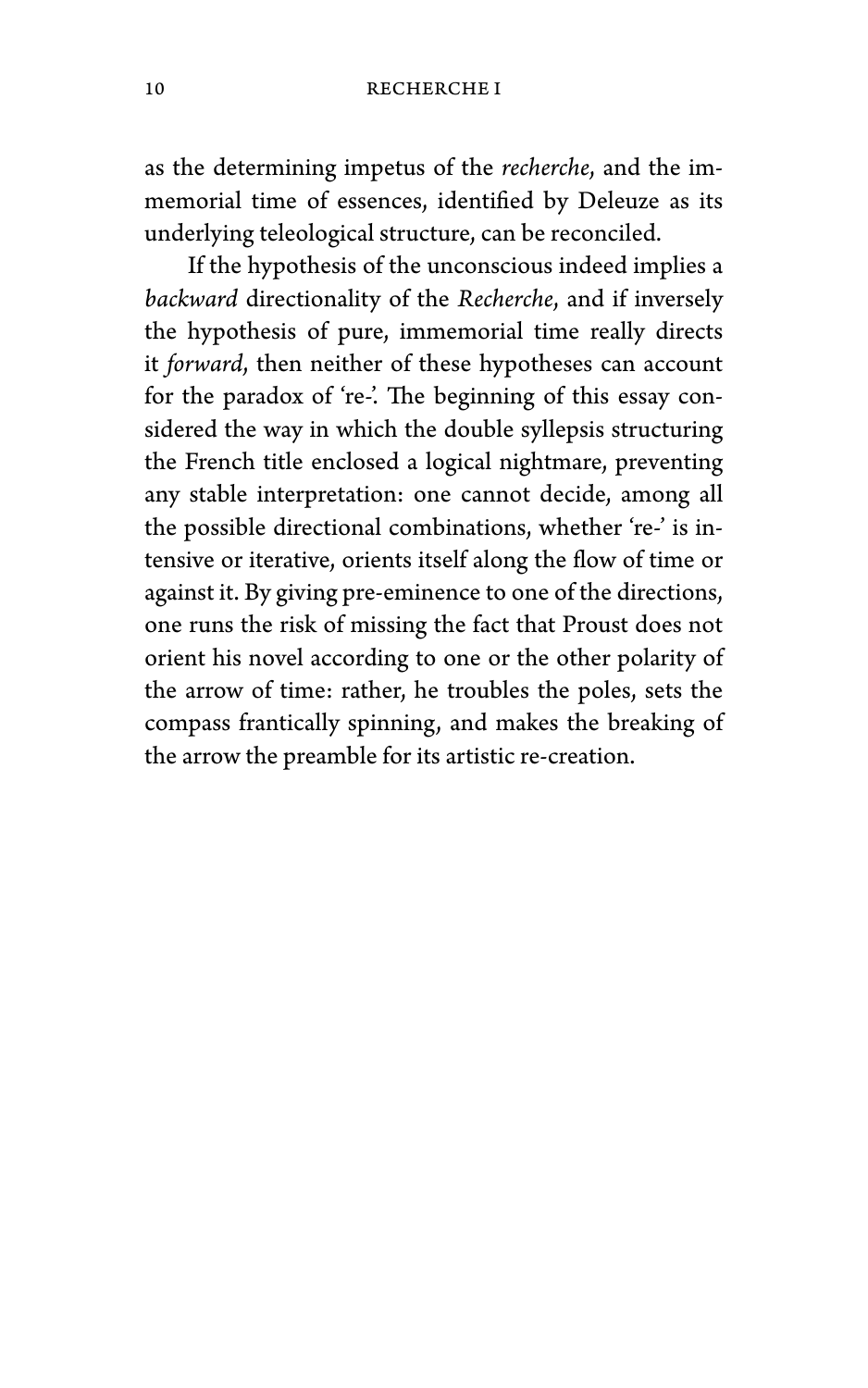as the determining impetus of the *recherche*, and the immemorial time of essences, identified by Deleuze as its underlying teleological structure, can be reconciled.

If the hypothesis of the unconscious indeed implies a *backward* directionality of the *Recherche*, and if inversely the hypothesis of pure, immemorial time really directs it *forward*, then neither of these hypotheses can account for the paradox of 're-'. The beginning of this essay considered the way in which the double syllepsis structuring the French title enclosed a logical nightmare, preventing any stable interpretation: one cannot decide, among all the possible directional combinations, whether 're-' is intensive or iterative, orients itself along the flow of time or against it. By giving pre-eminence to one of the directions, one runs the risk of missing the fact that Proust does not orient his novel according to one or the other polarity of the arrow of time: rather, he troubles the poles, sets the compass frantically spinning, and makes the breaking of the arrow the preamble for its artistic re-creation.